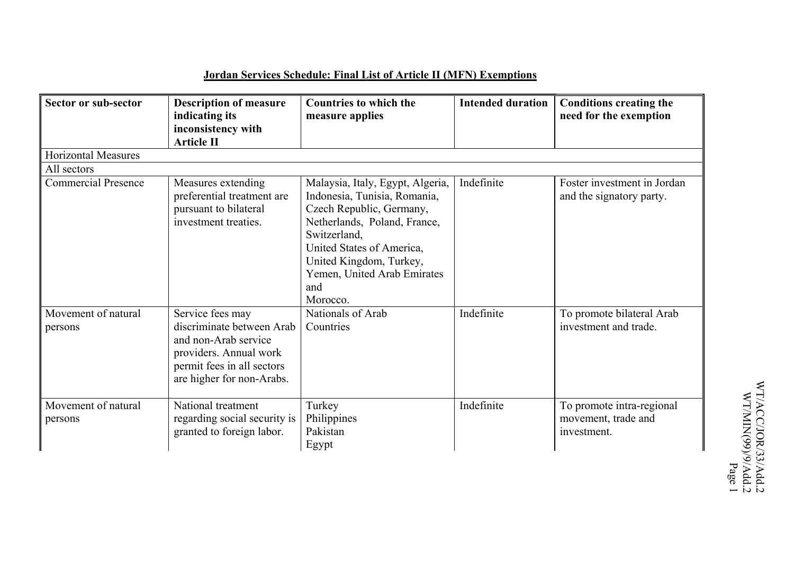## **Jordan Services Schedule: Final List of Article II (MFN) Exemptions**

| Sector or sub-sector           | <b>Description of measure</b><br>indicating its<br>inconsistency with<br><b>Article II</b>                                                                 | <b>Countries to which the</b><br>measure applies                                                                                                                                                                                                       | <b>Intended duration</b> | <b>Conditions creating the</b><br>need for the exemption        |
|--------------------------------|------------------------------------------------------------------------------------------------------------------------------------------------------------|--------------------------------------------------------------------------------------------------------------------------------------------------------------------------------------------------------------------------------------------------------|--------------------------|-----------------------------------------------------------------|
| <b>Horizontal Measures</b>     |                                                                                                                                                            |                                                                                                                                                                                                                                                        |                          |                                                                 |
| All sectors                    |                                                                                                                                                            |                                                                                                                                                                                                                                                        |                          |                                                                 |
| <b>Commercial Presence</b>     | Measures extending<br>preferential treatment are<br>pursuant to bilateral<br>investment treaties.                                                          | Malaysia, Italy, Egypt, Algeria,<br>Indonesia, Tunisia, Romania,<br>Czech Republic, Germany,<br>Netherlands, Poland, France,<br>Switzerland,<br>United States of America,<br>United Kingdom, Turkey,<br>Yemen, United Arab Emirates<br>and<br>Morocco. | Indefinite               | Foster investment in Jordan<br>and the signatory party.         |
| Movement of natural<br>persons | Service fees may<br>discriminate between Arab<br>and non-Arab service<br>providers. Annual work<br>permit fees in all sectors<br>are higher for non-Arabs. | Nationals of Arab<br>Countries                                                                                                                                                                                                                         | Indefinite               | To promote bilateral Arab<br>investment and trade.              |
| Movement of natural<br>persons | National treatment<br>regarding social security is<br>granted to foreign labor.                                                                            | Turkey<br>Philippines<br>Pakistan<br>Egypt                                                                                                                                                                                                             | Indefinite               | To promote intra-regional<br>movement, trade and<br>investment. |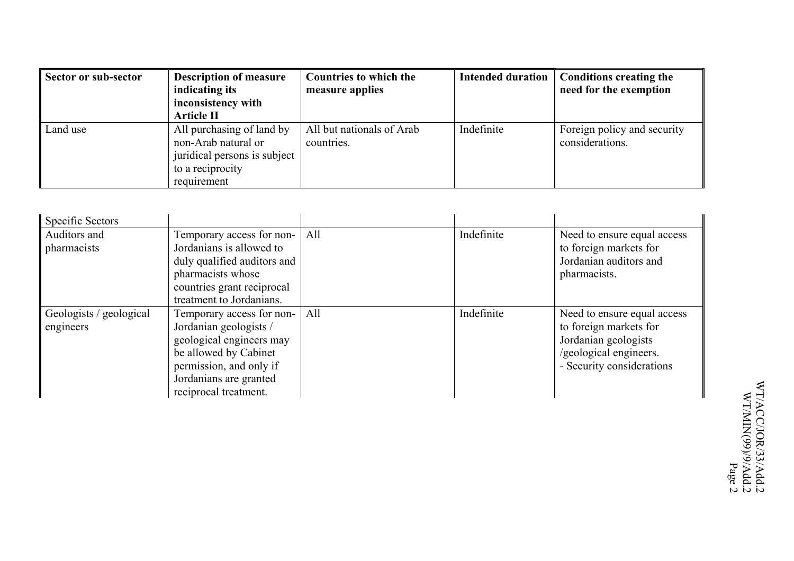| Sector or sub-sector | <b>Description of measure</b><br>indicating its<br>inconsistency with<br><b>Article II</b>                          | <b>Countries to which the</b><br>measure applies | <b>Intended duration</b> | <b>Conditions creating the</b><br>need for the exemption |
|----------------------|---------------------------------------------------------------------------------------------------------------------|--------------------------------------------------|--------------------------|----------------------------------------------------------|
| Land use             | All purchasing of land by<br>non-Arab natural or<br>juridical persons is subject<br>to a reciprocity<br>requirement | All but nationals of Arab<br>countries.          | Indefinite               | Foreign policy and security<br>considerations.           |

| <b>Specific Sectors</b> |                             |     |            |                             |
|-------------------------|-----------------------------|-----|------------|-----------------------------|
| Auditors and            | Temporary access for non-   | All | Indefinite | Need to ensure equal access |
| pharmacists             | Jordanians is allowed to    |     |            | to foreign markets for      |
|                         | duly qualified auditors and |     |            | Jordanian auditors and      |
|                         | pharmacists whose           |     |            | pharmacists.                |
|                         | countries grant reciprocal  |     |            |                             |
|                         | treatment to Jordanians.    |     |            |                             |
| Geologists / geological | Temporary access for non-   | All | Indefinite | Need to ensure equal access |
| engineers               | Jordanian geologists /      |     |            | to foreign markets for      |
|                         | geological engineers may    |     |            | Jordanian geologists        |
|                         | be allowed by Cabinet       |     |            | /geological engineers.      |
|                         | permission, and only if     |     |            | - Security considerations   |
|                         | Jordanians are granted      |     |            |                             |
|                         | reciprocal treatment.       |     |            |                             |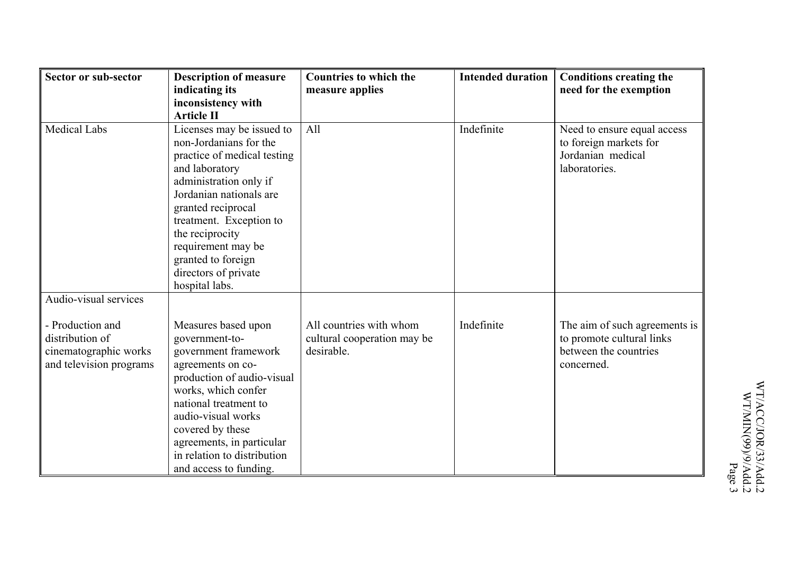| Sector or sub-sector    | <b>Description of measure</b>                       | <b>Countries to which the</b> | <b>Intended duration</b> | <b>Conditions creating the</b>              |
|-------------------------|-----------------------------------------------------|-------------------------------|--------------------------|---------------------------------------------|
|                         | indicating its                                      | measure applies               |                          | need for the exemption                      |
|                         | inconsistency with                                  |                               |                          |                                             |
|                         | <b>Article II</b>                                   |                               |                          |                                             |
| <b>Medical Labs</b>     | Licenses may be issued to<br>non-Jordanians for the | All                           | Indefinite               | Need to ensure equal access                 |
|                         | practice of medical testing                         |                               |                          | to foreign markets for<br>Jordanian medical |
|                         | and laboratory                                      |                               |                          | laboratories.                               |
|                         | administration only if                              |                               |                          |                                             |
|                         | Jordanian nationals are                             |                               |                          |                                             |
|                         | granted reciprocal                                  |                               |                          |                                             |
|                         | treatment. Exception to                             |                               |                          |                                             |
|                         | the reciprocity                                     |                               |                          |                                             |
|                         | requirement may be                                  |                               |                          |                                             |
|                         | granted to foreign                                  |                               |                          |                                             |
|                         | directors of private                                |                               |                          |                                             |
|                         | hospital labs.                                      |                               |                          |                                             |
| Audio-visual services   |                                                     |                               |                          |                                             |
|                         |                                                     |                               |                          |                                             |
| - Production and        | Measures based upon                                 | All countries with whom       | Indefinite               | The aim of such agreements is               |
| distribution of         | government-to-                                      | cultural cooperation may be   |                          | to promote cultural links                   |
| cinematographic works   | government framework                                | desirable.                    |                          | between the countries                       |
| and television programs | agreements on co-                                   |                               |                          | concerned.                                  |
|                         | production of audio-visual<br>works, which confer   |                               |                          |                                             |
|                         | national treatment to                               |                               |                          |                                             |
|                         | audio-visual works                                  |                               |                          |                                             |
|                         | covered by these                                    |                               |                          |                                             |
|                         | agreements, in particular                           |                               |                          |                                             |
|                         | in relation to distribution                         |                               |                          |                                             |
|                         | and access to funding.                              |                               |                          |                                             |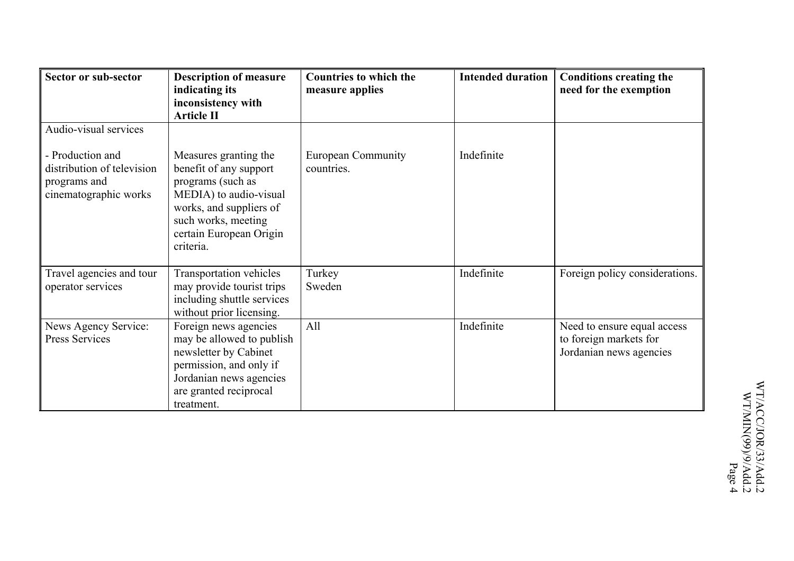| Sector or sub-sector                                                                    | <b>Description of measure</b><br>indicating its<br>inconsistency with<br><b>Article II</b>                                                                                               | <b>Countries to which the</b><br>measure applies | <b>Intended duration</b> | <b>Conditions creating the</b><br>need for the exemption                         |
|-----------------------------------------------------------------------------------------|------------------------------------------------------------------------------------------------------------------------------------------------------------------------------------------|--------------------------------------------------|--------------------------|----------------------------------------------------------------------------------|
| Audio-visual services                                                                   |                                                                                                                                                                                          |                                                  |                          |                                                                                  |
| - Production and<br>distribution of television<br>programs and<br>cinematographic works | Measures granting the<br>benefit of any support<br>programs (such as<br>MEDIA) to audio-visual<br>works, and suppliers of<br>such works, meeting<br>certain European Origin<br>criteria. | <b>European Community</b><br>countries.          | Indefinite               |                                                                                  |
| Travel agencies and tour<br>operator services                                           | <b>Transportation vehicles</b><br>may provide tourist trips<br>including shuttle services<br>without prior licensing.                                                                    | Turkey<br>Sweden                                 | Indefinite               | Foreign policy considerations.                                                   |
| News Agency Service:<br>Press Services                                                  | Foreign news agencies<br>may be allowed to publish<br>newsletter by Cabinet<br>permission, and only if<br>Jordanian news agencies<br>are granted reciprocal<br>treatment.                | All                                              | Indefinite               | Need to ensure equal access<br>to foreign markets for<br>Jordanian news agencies |